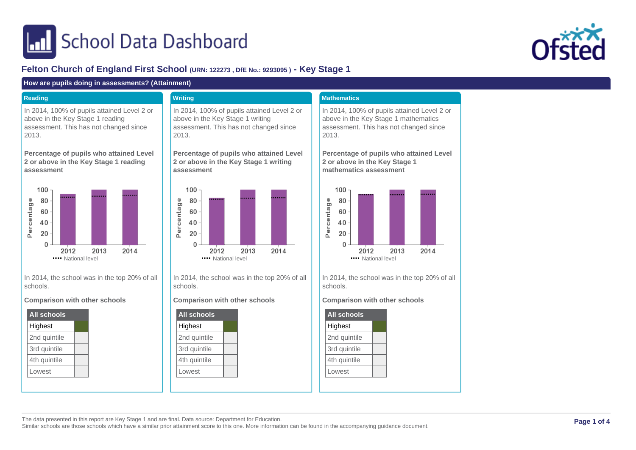# **In School Data Dashboard**



## **Felton Church of England First School (URN: 122273 , DfE No.: 9293095 ) - Key Stage 1**

#### **How are pupils doing in assessments? (Attainment)**

#### **Reading**

In 2014, 100% of pupils attained Level 2 or above in the Key Stage 1 reading assessment. This has not changed since 2013.

**Percentage of pupils who attained Level 2 or above in the Key Stage 1 reading assessment**



In 2014, the school was in the top 20% of all schools.

**Comparison with other schools**

| All schools  |  |  |  |  |
|--------------|--|--|--|--|
| Highest      |  |  |  |  |
| 2nd quintile |  |  |  |  |
| 3rd quintile |  |  |  |  |
| 4th quintile |  |  |  |  |
| Lowest       |  |  |  |  |

## **Writing**

In 2014, 100% of pupils attained Level 2 or above in the Key Stage 1 writing assessment. This has not changed since 2013.

**Percentage of pupils who attained Level 2 or above in the Key Stage 1 writing assessment**



In 2014, the school was in the top 20% of all schools.

#### **Comparison with other schools**



#### **Mathematics**

In 2014, 100% of pupils attained Level 2 or above in the Key Stage 1 mathematics assessment. This has not changed since 2013.

**Percentage of pupils who attained Level 2 or above in the Key Stage 1 mathematics assessment**



In 2014, the school was in the top 20% of all schools.

#### **Comparison with other schools**



The data presented in this report are Key Stage 1 and are final. Data source: Department for Education.

Similar schools are those schools which have a similar prior attainment score to this one. More information can be found in the accompanying guidance document.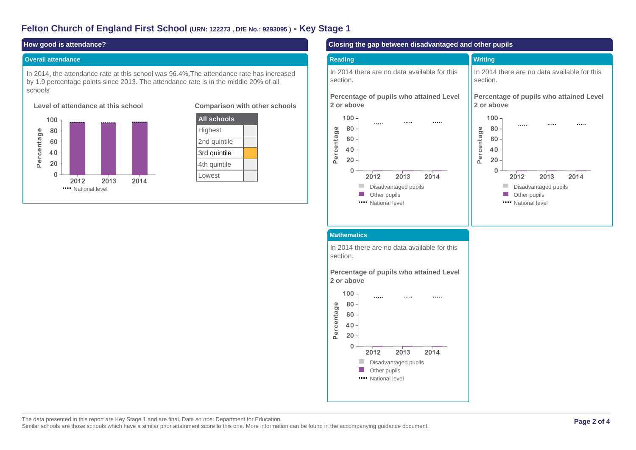## **Felton Church of England First School (URN: 122273 , DfE No.: 9293095 ) - Key Stage 1**

#### **How good is attendance?**

#### **Overall attendance**





#### **Comparison with other schools**



#### **Closing the gap between disadvantaged and other pupils**

#### **Reading** In 2014 there are no data available for this section. **Writing** In 2014 there are no data available for this section.

**Percentage of pupils who attained Level 2 or above**



**Percentage of pupils who attained Level 2 or above**  $100 \cdots$  $\cdots$  $\cdots$ 80 Percentage 60 40 20  $\Omega$ 2012 2013 2014 m. Disadvantaged pupils **Other pupils Wational level** 

#### **Mathematics**

In 2014 there are no data available for this section.

**Percentage of pupils who attained Level 2 or above**



The data presented in this report are Key Stage 1 and are final. Data source: Department for Education. Similar schools are those schools which have a similar prior attainment score to this one. More information can be found in the accompanying guidance document.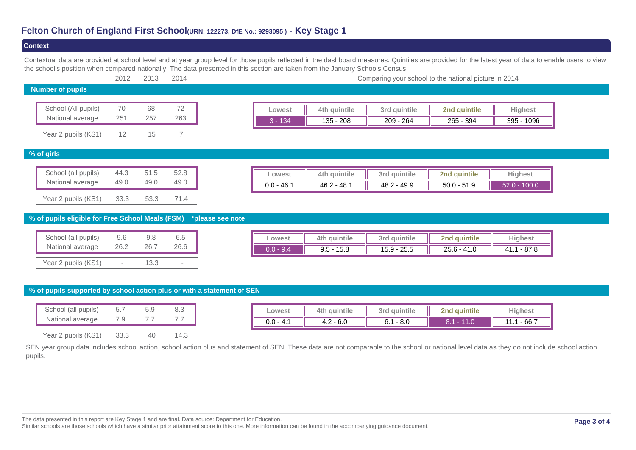## **Felton Church of England First School(URN: 122273, DfE No.: 9293095 ) - Key Stage 1**

#### **Context**

Contextual data are provided at school level and at year group level for those pupils reflected in the dashboard measures. Quintiles are provided for the latest year of data to enable users to view the school's position when compared nationally. The data presented in this section are taken from the January Schools Census.

|                         | 2012 | 2013 | 2014 | Comparing your school to the national picture in 2014 |           |              |              |              |                |
|-------------------------|------|------|------|-------------------------------------------------------|-----------|--------------|--------------|--------------|----------------|
| <b>Number of pupils</b> |      |      |      |                                                       |           |              |              |              |                |
|                         |      |      |      |                                                       |           |              |              |              |                |
| School (All pupils)     | 70   | 68   | 72   |                                                       | Lowest    | 4th quintile | 3rd quintile | 2nd quintile | <b>Highest</b> |
| National average        | 251  | 257  | 263  |                                                       | $3 - 134$ | $135 - 208$  | $209 - 264$  | 265 - 394    | 395 - 1096     |
| Year 2 pupils (KS1)     |      | 15   |      |                                                       |           |              |              |              |                |

#### **% of girls**

| School (all pupils) | 44.3 | 51.5 | 52.8 |
|---------------------|------|------|------|
| National average    | 49.0 | 49.0 | 49.0 |
| Year 2 pupils (KS1) | 33.3 | 53.3 | 71.4 |

| Lowest       | auintile      | quintile<br>3rd | 2nd quintile  | Highest      |
|--------------|---------------|-----------------|---------------|--------------|
| $0.0 - 46.1$ | $46.2 - 48.1$ | $48.2 - 49.9$   | $50.0 - 51.9$ | 52.0 - 100.0 |

#### **% of pupils eligible for Free School Meals (FSM) \*please see note**

| School (all pupils) | 9.6                      | 9.8  | 6.5  |
|---------------------|--------------------------|------|------|
| National average    | 26.2                     | 26.7 | 26.6 |
| Year 2 pupils (KS1) | $\overline{\phantom{a}}$ | 13.3 |      |

| Lowest | 4th quintile    | quintile<br>3rd  | quintile<br>?ոժ | Highest    |
|--------|-----------------|------------------|-----------------|------------|
| 9.4    | 15.8<br>$9.5 -$ | 25.5<br>$15.9 -$ | $25.6 - 41.0$   | 87.8<br>41 |

#### **% of pupils supported by school action plus or with a statement of SEN**

| School (all pupils) | 5.7  | 5.9               | 83   |
|---------------------|------|-------------------|------|
| National average    | - 9  | $\prime$ $\prime$ |      |
| Year 2 pupils (KS1) | 33.3 | 10                | 14 3 |

| Lowest          | 4th quintile           | <b>auintile</b><br>3rd | auintile<br>2n <sub>0</sub> | Hiahest      |
|-----------------|------------------------|------------------------|-----------------------------|--------------|
| ገ ሰ<br>ີ - 4. ເ | - 6.0<br>$\sim$<br>4.Z | - 8.0<br>6.1           |                             | 66.7<br>11.1 |

SEN year group data includes school action, school action plus and statement of SEN. These data are not comparable to the school or national level data as they do not include school action pupils.

The data presented in this report are Key Stage 1 and are final. Data source: Department for Education.

Similar schools are those schools which have a similar prior attainment score to this one. More information can be found in the accompanying guidance document.